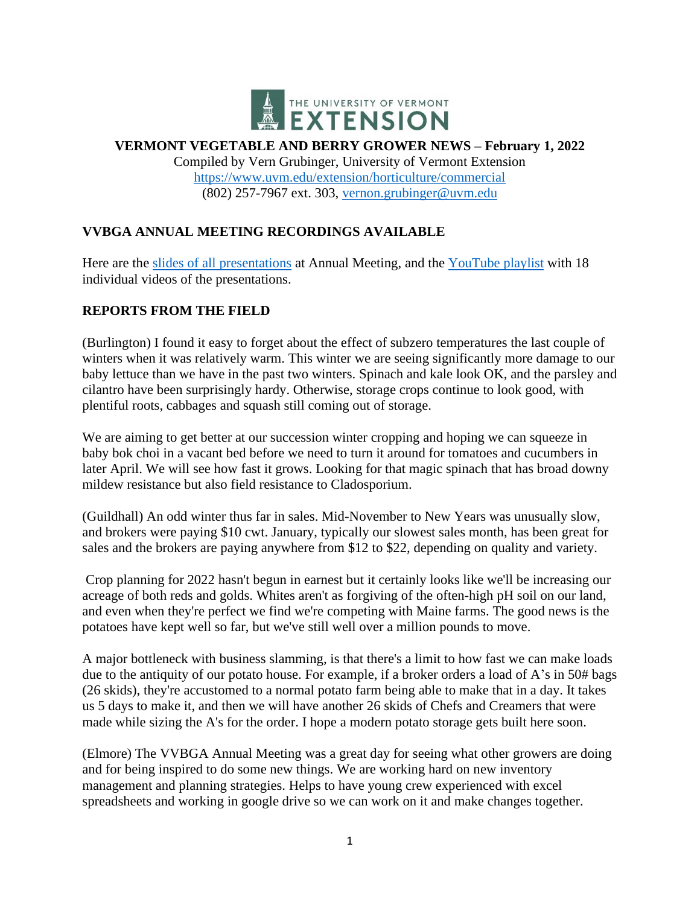

#### **VERMONT VEGETABLE AND BERRY GROWER NEWS – February 1, 2022**

Compiled by Vern Grubinger, University of Vermont Extension <https://www.uvm.edu/extension/horticulture/commercial> (802) 257-7967 ext. 303, [vernon.grubinger@uvm.edu](mailto:vernon.grubinger@uvm.edu)

# **VVBGA ANNUAL MEETING RECORDINGS AVAILABLE**

Here are the [slides of all presentations](https://www.uvm.edu/sites/default/files/UVM-Extension-Cultivating-Healthy-Communities/horticulture/VVBGA/AnnualMtg22/2022_VVBGA_Annual_Meeting_slides.pdf) at Annual Meeting, and the [YouTube playlist](https://www.youtube.com/playlist?list=PLszfvPfJBpgz9xndiySWAFf9Q9rZUmNP1) with 18 individual videos of the presentations.

# **REPORTS FROM THE FIELD**

(Burlington) I found it easy to forget about the effect of subzero temperatures the last couple of winters when it was relatively warm. This winter we are seeing significantly more damage to our baby lettuce than we have in the past two winters. Spinach and kale look OK, and the parsley and cilantro have been surprisingly hardy. Otherwise, storage crops continue to look good, with plentiful roots, cabbages and squash still coming out of storage.

We are aiming to get better at our succession winter cropping and hoping we can squeeze in baby bok choi in a vacant bed before we need to turn it around for tomatoes and cucumbers in later April. We will see how fast it grows. Looking for that magic spinach that has broad downy mildew resistance but also field resistance to Cladosporium.

(Guildhall) An odd winter thus far in sales. Mid-November to New Years was unusually slow, and brokers were paying \$10 cwt. January, typically our slowest sales month, has been great for sales and the brokers are paying anywhere from \$12 to \$22, depending on quality and variety.

Crop planning for 2022 hasn't begun in earnest but it certainly looks like we'll be increasing our acreage of both reds and golds. Whites aren't as forgiving of the often-high pH soil on our land, and even when they're perfect we find we're competing with Maine farms. The good news is the potatoes have kept well so far, but we've still well over a million pounds to move.

A major bottleneck with business slamming, is that there's a limit to how fast we can make loads due to the antiquity of our potato house. For example, if a broker orders a load of A's in 50# bags (26 skids), they're accustomed to a normal potato farm being able to make that in a day. It takes us 5 days to make it, and then we will have another 26 skids of Chefs and Creamers that were made while sizing the A's for the order. I hope a modern potato storage gets built here soon.

(Elmore) The VVBGA Annual Meeting was a great day for seeing what other growers are doing and for being inspired to do some new things. We are working hard on new inventory management and planning strategies. Helps to have young crew experienced with excel spreadsheets and working in google drive so we can work on it and make changes together.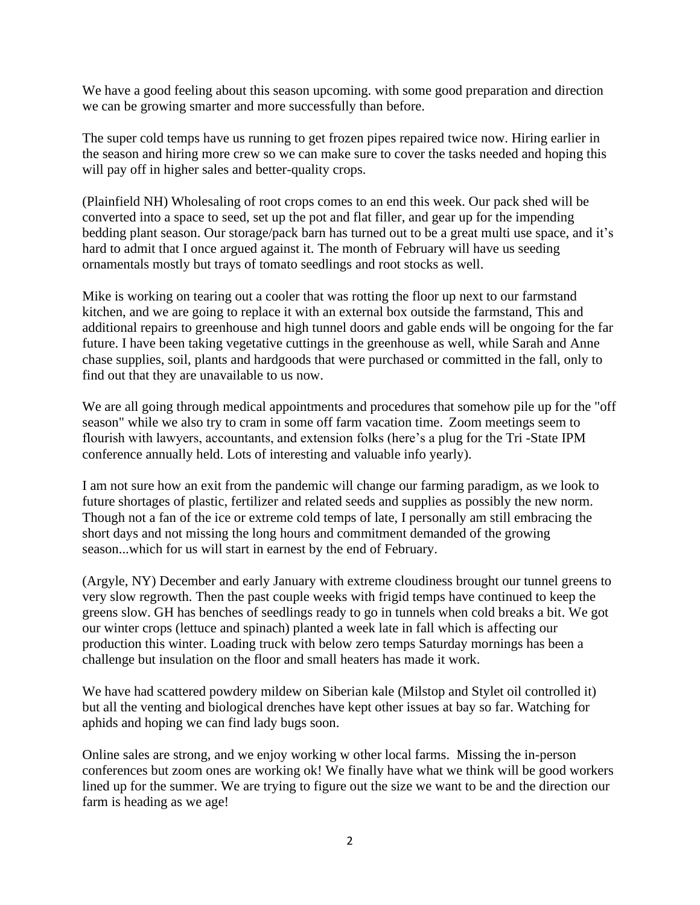We have a good feeling about this season upcoming, with some good preparation and direction we can be growing smarter and more successfully than before.

The super cold temps have us running to get frozen pipes repaired twice now. Hiring earlier in the season and hiring more crew so we can make sure to cover the tasks needed and hoping this will pay off in higher sales and better-quality crops.

(Plainfield NH) Wholesaling of root crops comes to an end this week. Our pack shed will be converted into a space to seed, set up the pot and flat filler, and gear up for the impending bedding plant season. Our storage/pack barn has turned out to be a great multi use space, and it's hard to admit that I once argued against it. The month of February will have us seeding ornamentals mostly but trays of tomato seedlings and root stocks as well.

Mike is working on tearing out a cooler that was rotting the floor up next to our farmstand kitchen, and we are going to replace it with an external box outside the farmstand, This and additional repairs to greenhouse and high tunnel doors and gable ends will be ongoing for the far future. I have been taking vegetative cuttings in the greenhouse as well, while Sarah and Anne chase supplies, soil, plants and hardgoods that were purchased or committed in the fall, only to find out that they are unavailable to us now.

We are all going through medical appointments and procedures that somehow pile up for the "off" season" while we also try to cram in some off farm vacation time. Zoom meetings seem to flourish with lawyers, accountants, and extension folks (here's a plug for the Tri -State IPM conference annually held. Lots of interesting and valuable info yearly).

I am not sure how an exit from the pandemic will change our farming paradigm, as we look to future shortages of plastic, fertilizer and related seeds and supplies as possibly the new norm. Though not a fan of the ice or extreme cold temps of late, I personally am still embracing the short days and not missing the long hours and commitment demanded of the growing season...which for us will start in earnest by the end of February.

(Argyle, NY) December and early January with extreme cloudiness brought our tunnel greens to very slow regrowth. Then the past couple weeks with frigid temps have continued to keep the greens slow. GH has benches of seedlings ready to go in tunnels when cold breaks a bit. We got our winter crops (lettuce and spinach) planted a week late in fall which is affecting our production this winter. Loading truck with below zero temps Saturday mornings has been a challenge but insulation on the floor and small heaters has made it work.

We have had scattered powdery mildew on Siberian kale (Milstop and Stylet oil controlled it) but all the venting and biological drenches have kept other issues at bay so far. Watching for aphids and hoping we can find lady bugs soon.

Online sales are strong, and we enjoy working w other local farms. Missing the in-person conferences but zoom ones are working ok! We finally have what we think will be good workers lined up for the summer. We are trying to figure out the size we want to be and the direction our farm is heading as we age!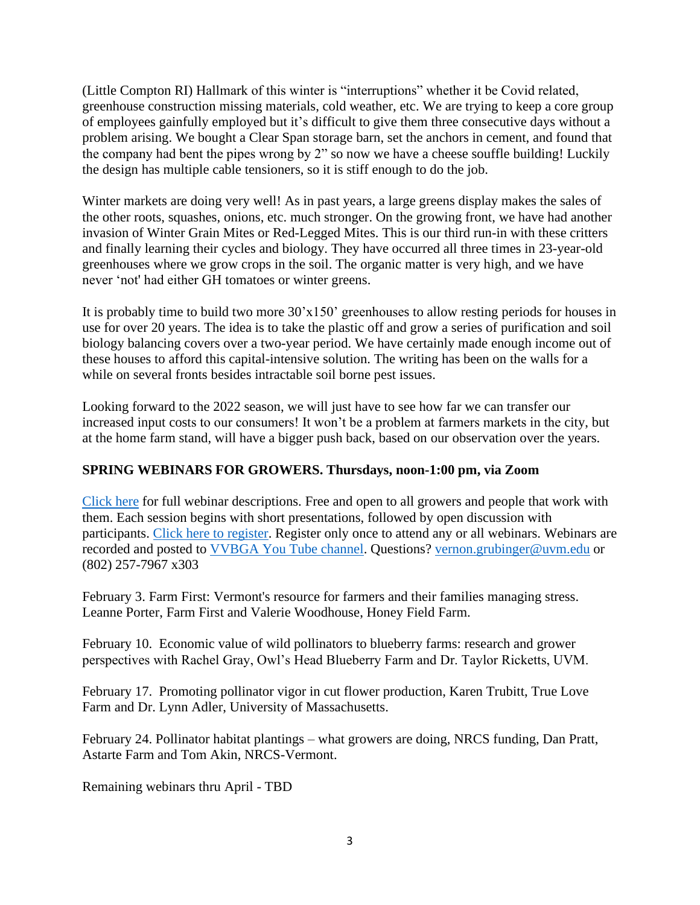(Little Compton RI) Hallmark of this winter is "interruptions" whether it be Covid related, greenhouse construction missing materials, cold weather, etc. We are trying to keep a core group of employees gainfully employed but it's difficult to give them three consecutive days without a problem arising. We bought a Clear Span storage barn, set the anchors in cement, and found that the company had bent the pipes wrong by 2" so now we have a cheese souffle building! Luckily the design has multiple cable tensioners, so it is stiff enough to do the job.

Winter markets are doing very well! As in past years, a large greens display makes the sales of the other roots, squashes, onions, etc. much stronger. On the growing front, we have had another invasion of Winter Grain Mites or Red-Legged Mites. This is our third run-in with these critters and finally learning their cycles and biology. They have occurred all three times in 23-year-old greenhouses where we grow crops in the soil. The organic matter is very high, and we have never 'not' had either GH tomatoes or winter greens.

It is probably time to build two more 30'x150' greenhouses to allow resting periods for houses in use for over 20 years. The idea is to take the plastic off and grow a series of purification and soil biology balancing covers over a two-year period. We have certainly made enough income out of these houses to afford this capital-intensive solution. The writing has been on the walls for a while on several fronts besides intractable soil borne pest issues.

Looking forward to the 2022 season, we will just have to see how far we can transfer our increased input costs to our consumers! It won't be a problem at farmers markets in the city, but at the home farm stand, will have a bigger push back, based on our observation over the years.

#### **SPRING WEBINARS FOR GROWERS. Thursdays, noon-1:00 pm, via Zoom**

[Click here](https://www.uvm.edu/sites/default/files/UVM-Extension-Cultivating-Healthy-Communities/horticulture/webinars/Spring2022Webinars.pdf) for full webinar descriptions. Free and open to all growers and people that work with them. Each session begins with short presentations, followed by open discussion with participants. [Click here to register.](https://us02web.zoom.us/meeting/register/tZAkduivqT0uH9Zgl1rcGWraj30Q1mU1oSjG?_x_zm_rtaid=oS1D1oNKSuSBaQdEdptGvw.1643719295423.9d1f1e847dbf96021ba43e20d5256aa2&_x_zm_rhtaid=284) Register only once to attend any or all webinars. Webinars are recorded and posted to [VVBGA You Tube channel.](https://www.youtube.com/channel/UCy1XzL_YX4j8hLCreEyYLBQ) Questions? [vernon.grubinger@uvm.edu](mailto:vernon.grubinger@uvm.edu) or (802) 257-7967 x303

February 3. Farm First: Vermont's resource for farmers and their families managing stress. Leanne Porter, Farm First and Valerie Woodhouse, Honey Field Farm.

February 10. Economic value of wild pollinators to blueberry farms: research and grower perspectives with Rachel Gray, Owl's Head Blueberry Farm and Dr. Taylor Ricketts, UVM.

February 17. Promoting pollinator vigor in cut flower production, Karen Trubitt, True Love Farm and Dr. Lynn Adler, University of Massachusetts.

February 24. Pollinator habitat plantings – what growers are doing, NRCS funding, Dan Pratt, Astarte Farm and Tom Akin, NRCS-Vermont.

Remaining webinars thru April - TBD